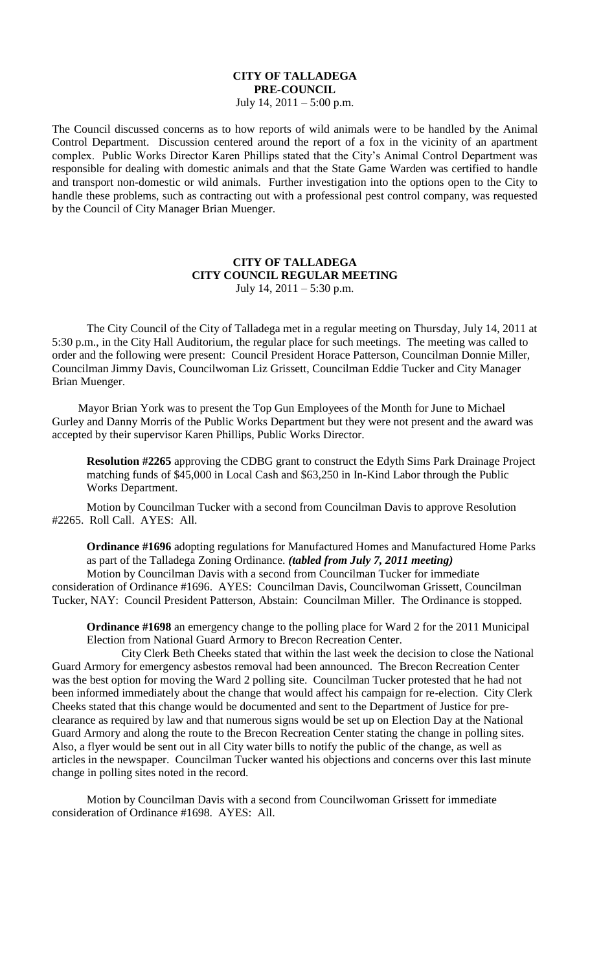## **CITY OF TALLADEGA PRE-COUNCIL** July 14,  $2011 - 5:00$  p.m.

The Council discussed concerns as to how reports of wild animals were to be handled by the Animal Control Department. Discussion centered around the report of a fox in the vicinity of an apartment complex. Public Works Director Karen Phillips stated that the City's Animal Control Department was responsible for dealing with domestic animals and that the State Game Warden was certified to handle and transport non-domestic or wild animals. Further investigation into the options open to the City to handle these problems, such as contracting out with a professional pest control company, was requested by the Council of City Manager Brian Muenger.

## **CITY OF TALLADEGA CITY COUNCIL REGULAR MEETING** July 14,  $2011 - 5:30$  p.m.

The City Council of the City of Talladega met in a regular meeting on Thursday, July 14, 2011 at 5:30 p.m., in the City Hall Auditorium, the regular place for such meetings. The meeting was called to order and the following were present: Council President Horace Patterson, Councilman Donnie Miller, Councilman Jimmy Davis, Councilwoman Liz Grissett, Councilman Eddie Tucker and City Manager Brian Muenger.

Mayor Brian York was to present the Top Gun Employees of the Month for June to Michael Gurley and Danny Morris of the Public Works Department but they were not present and the award was accepted by their supervisor Karen Phillips, Public Works Director.

**Resolution #2265** approving the CDBG grant to construct the Edyth Sims Park Drainage Project matching funds of \$45,000 in Local Cash and \$63,250 in In-Kind Labor through the Public Works Department.

Motion by Councilman Tucker with a second from Councilman Davis to approve Resolution #2265. Roll Call. AYES: All.

**Ordinance #1696** adopting regulations for Manufactured Homes and Manufactured Home Parks as part of the Talladega Zoning Ordinance. *(tabled from July 7, 2011 meeting)* Motion by Councilman Davis with a second from Councilman Tucker for immediate consideration of Ordinance #1696. AYES: Councilman Davis, Councilwoman Grissett, Councilman Tucker, NAY: Council President Patterson, Abstain: Councilman Miller. The Ordinance is stopped.

**Ordinance #1698** an emergency change to the polling place for Ward 2 for the 2011 Municipal Election from National Guard Armory to Brecon Recreation Center.

City Clerk Beth Cheeks stated that within the last week the decision to close the National Guard Armory for emergency asbestos removal had been announced. The Brecon Recreation Center was the best option for moving the Ward 2 polling site. Councilman Tucker protested that he had not been informed immediately about the change that would affect his campaign for re-election. City Clerk Cheeks stated that this change would be documented and sent to the Department of Justice for preclearance as required by law and that numerous signs would be set up on Election Day at the National Guard Armory and along the route to the Brecon Recreation Center stating the change in polling sites. Also, a flyer would be sent out in all City water bills to notify the public of the change, as well as articles in the newspaper. Councilman Tucker wanted his objections and concerns over this last minute change in polling sites noted in the record.

Motion by Councilman Davis with a second from Councilwoman Grissett for immediate consideration of Ordinance #1698. AYES: All.